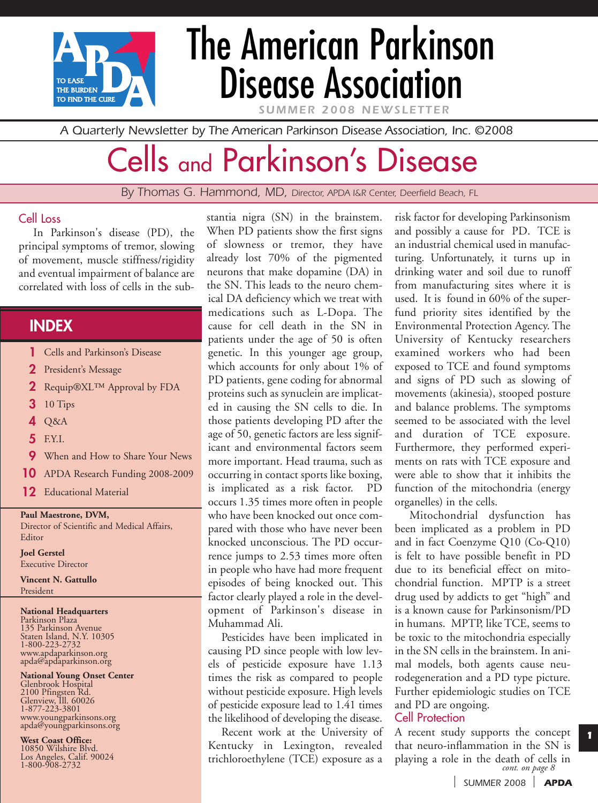

# The American Parkinson Disease Association

*SUMMER 2008 NEWSLETTER*

*A Quarterly Newsletter by The American Parkinson Disease Association, Inc. ©2008*

# Cells and Parkinson's Disease

*By Thomas G. Hammond, MD, Director, APDA I&R Center, Deerfield Beach, FL*

#### Cell Loss

In Parkinson's disease (PD), the principal symptoms of tremor, slowing of movement, muscle stiffness/rigidity and eventual impairment of balance are correlated with loss of cells in the sub-

## **INDEX**

- **1** Cells and Parkinson's Disease
- **2** President's Message
- **2** Requip®XL™ Approval by FDA
- **3** 10 Tips
- **4** Q&A
- **5** F.Y.I.
- **9** When and How to Share Your News
- **10** APDA Research Funding 2008-2009
- **12** Educational Material

#### **Paul Maestrone, DVM,**

Director of Scientific and Medical Affairs, Editor

#### **Joel Gerstel**

Executive Director

**Vincent N. Gattullo** President

#### **National Headquarters**

Parkinson Plaza 135 Parkinson Avenue Staten Island, N.Y. 10305 1-800-223-2732 www.apdaparkinson.org apda@apdaparkinson.org

## **National Young Onset Center**

Glenbrook Hospital 2100 Pfingsten Rd. Glenview, Ill. 60026 1-877-223-3801 www.youngparkinsons.org apda@youngparkinsons.org

**West Coast Office:** 10850 Wilshire Blvd. Los Angeles, Calif. 90024

1-800-908-2732

stantia nigra (SN) in the brainstem. When PD patients show the first signs of slowness or tremor, they have already lost 70% of the pigmented neurons that make dopamine (DA) in the SN. This leads to the neuro chemical DA deficiency which we treat with medications such as L-Dopa. The cause for cell death in the SN in patients under the age of 50 is often genetic. In this younger age group, which accounts for only about 1% of PD patients, gene coding for abnormal proteins such as synuclein are implicated in causing the SN cells to die. In those patients developing PD after the age of 50, genetic factors are less significant and environmental factors seem more important. Head trauma, such as occurring in contact sports like boxing, is implicated as a risk factor. PD occurs 1.35 times more often in people who have been knocked out once compared with those who have never been knocked unconscious. The PD occurrence jumps to 2.53 times more often in people who have had more frequent episodes of being knocked out. This factor clearly played a role in the development of Parkinson's disease in Muhammad Ali.

Pesticides have been implicated in causing PD since people with low levels of pesticide exposure have 1.13 times the risk as compared to people without pesticide exposure. High levels of pesticide exposure lead to 1.41 times the likelihood of developing the disease.

Recent work at the University of Kentucky in Lexington, revealed trichloroethylene (TCE) exposure as a

risk factor for developing Parkinsonism and possibly a cause for PD. TCE is an industrial chemical used in manufacturing. Unfortunately, it turns up in drinking water and soil due to runoff from manufacturing sites where it is used. It is found in 60% of the superfund priority sites identified by the Environmental Protection Agency. The University of Kentucky researchers examined workers who had been exposed to TCE and found symptoms and signs of PD such as slowing of movements (akinesia), stooped posture and balance problems. The symptoms seemed to be associated with the level and duration of TCE exposure. Furthermore, they performed experiments on rats with TCE exposure and were able to show that it inhibits the function of the mitochondria (energy organelles) in the cells.

Mitochondrial dysfunction has been implicated as a problem in PD and in fact Coenzyme Q10 (Co-Q10) is felt to have possible benefit in PD due to its beneficial effect on mitochondrial function. MPTP is a street drug used by addicts to get "high" and is a known cause for Parkinsonism/PD in humans. MPTP, like TCE, seems to be toxic to the mitochondria especially in the SN cells in the brainstem. In animal models, both agents cause neurodegeneration and a PD type picture. Further epidemiologic studies on TCE and PD are ongoing.

#### Cell Protection

A recent study supports the concept that neuro-inflammation in the SN is playing a role in the death of cells in *cont. on page 8*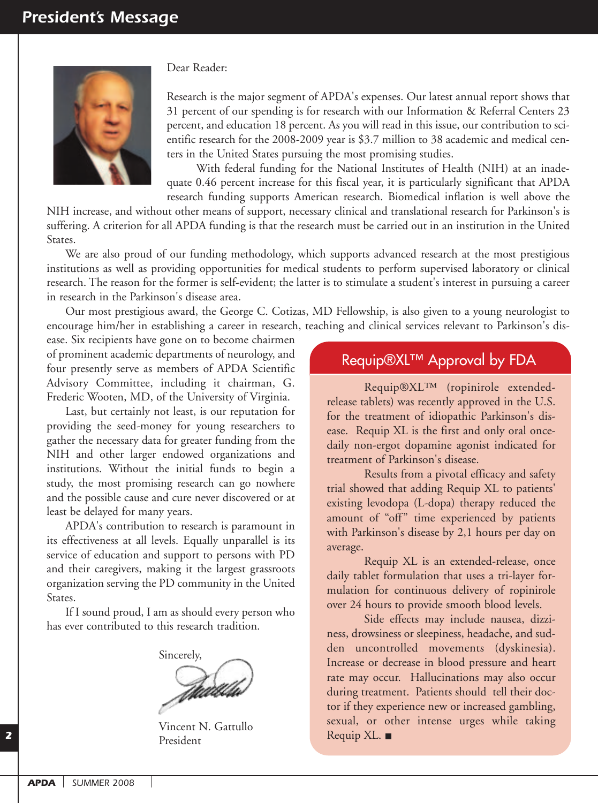

Dear Reader:

Research is the major segment of APDA's expenses. Our latest annual report shows that 31 percent of our spending is for research with our Information & Referral Centers 23 percent, and education 18 percent. As you will read in this issue, our contribution to scientific research for the 2008-2009 year is \$3.7 million to 38 academic and medical centers in the United States pursuing the most promising studies.

With federal funding for the National Institutes of Health (NIH) at an inadequate 0.46 percent increase for this fiscal year, it is particularly significant that APDA research funding supports American research. Biomedical inflation is well above the

NIH increase, and without other means of support, necessary clinical and translational research for Parkinson's is suffering. A criterion for all APDA funding is that the research must be carried out in an institution in the United States.

We are also proud of our funding methodology, which supports advanced research at the most prestigious institutions as well as providing opportunities for medical students to perform supervised laboratory or clinical research. The reason for the former is self-evident; the latter is to stimulate a student's interest in pursuing a career in research in the Parkinson's disease area.

Our most prestigious award, the George C. Cotizas, MD Fellowship, is also given to a young neurologist to encourage him/her in establishing a career in research, teaching and clinical services relevant to Parkinson's dis-

ease. Six recipients have gone on to become chairmen of prominent academic departments of neurology, and four presently serve as members of APDA Scientific Advisory Committee, including it chairman, G. Frederic Wooten, MD, of the University of Virginia.

Last, but certainly not least, is our reputation for providing the seed-money for young researchers to gather the necessary data for greater funding from the NIH and other larger endowed organizations and institutions. Without the initial funds to begin a study, the most promising research can go nowhere and the possible cause and cure never discovered or at least be delayed for many years.

APDA's contribution to research is paramount in its effectiveness at all levels. Equally unparallel is its service of education and support to persons with PD and their caregivers, making it the largest grassroots organization serving the PD community in the United States.

If I sound proud, I am as should every person who has ever contributed to this research tradition.

Sincerely, Traco

Vincent N. Gattullo President

### Requip®XL™ Approval by FDA

Requip®XL™ (ropinirole extendedrelease tablets) was recently approved in the U.S. for the treatment of idiopathic Parkinson's disease. Requip XL is the first and only oral oncedaily non-ergot dopamine agonist indicated for treatment of Parkinson's disease.

Results from a pivotal efficacy and safety trial showed that adding Requip XL to patients' existing levodopa (L-dopa) therapy reduced the amount of "off" time experienced by patients with Parkinson's disease by 2,1 hours per day on average.

Requip XL is an extended-release, once daily tablet formulation that uses a tri-layer formulation for continuous delivery of ropinirole over 24 hours to provide smooth blood levels.

Side effects may include nausea, dizziness, drowsiness or sleepiness, headache, and sudden uncontrolled movements (dyskinesia). Increase or decrease in blood pressure and heart rate may occur. Hallucinations may also occur during treatment. Patients should tell their doctor if they experience new or increased gambling, sexual, or other intense urges while taking Requip XL.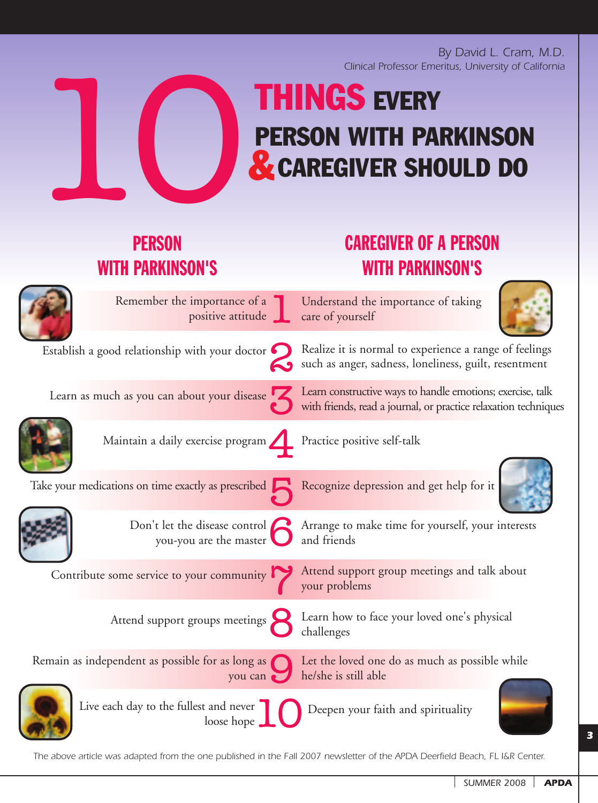*By David L. Cram, M.D. Clinical Professor Emeritus, University of California* 

# 10**& THINGS EVERY PERSON WITH PARKINSON CAREGIVER SHOULD DO**

Understand the importance of taking

# **PERSON** WITH PARKINSON'S

# CAREGIVER OF A PERSON WITH PARKINSON'S

1 Remember the importance of a positive attitude

2 Establish a good relationship with your doctor

3 Learn as much as you can about your disease

4 Maintain a daily exercise program Practice positive self-talk

loose hope

Take your medications on time exactly as prescribed Recognize depression and get help for it



you-you are the master and friends

Contribute some service to your community

8 Attend support groups meetings

9 Remain as independent as possible for as long as you can

Live each day to the fullest and never

Deepen your faith and spirituality



Realize it is normal to experience a range of feelings such as anger, sadness, loneliness, guilt, resentment

Learn constructive ways to handle emotions; exercise, talk with friends, read a journal, or practice relaxation techniques

care of yourself

Don't let the disease control **6** Arrange to make time for yourself, your interests you-you are the master **6** and friends

Attend support group meetings and talk about your problems

Learn how to face your loved one's physical challenges

Let the loved one do as much as possible while he/she is still able

*The above article was adapted from the one published in the Fall 2007 newsletter of the APDA Deerfield Beach, FL I&R Center.*

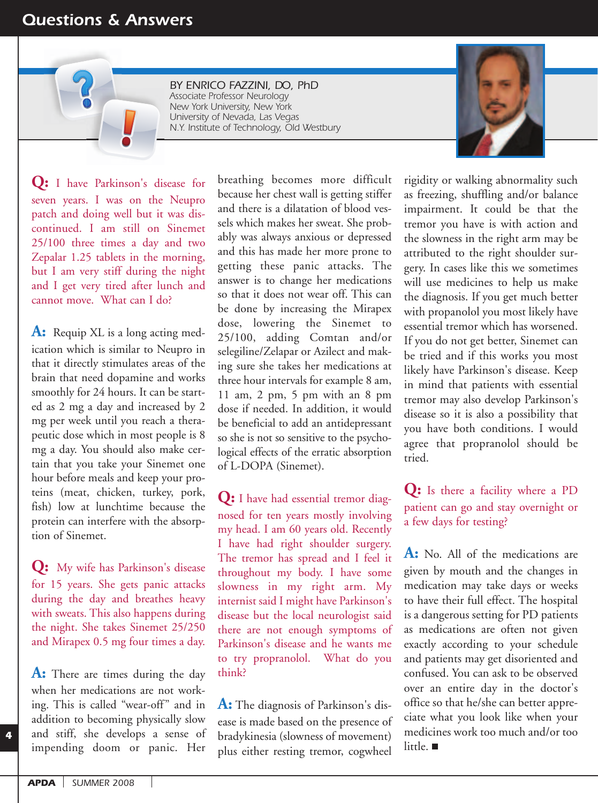## *Questions & Answers*

*BY ENRICO FAZZINI, DO, PhD Associate Professor Neurology New York University, New York University of Nevada, Las Vegas N.Y. Institute of Technology, Old Westbury*

**Q:** I have Parkinson's disease for seven years. I was on the Neupro patch and doing well but it was discontinued. I am still on Sinemet 25/100 three times a day and two Zepalar 1.25 tablets in the morning, but I am very stiff during the night and I get very tired after lunch and cannot move. What can I do?

A: Requip XL is a long acting medication which is similar to Neupro in that it directly stimulates areas of the brain that need dopamine and works smoothly for 24 hours. It can be started as 2 mg a day and increased by 2 mg per week until you reach a therapeutic dose which in most people is 8 mg a day. You should also make certain that you take your Sinemet one hour before meals and keep your proteins (meat, chicken, turkey, pork, fish) low at lunchtime because the protein can interfere with the absorption of Sinemet.

**Q:** My wife has Parkinson's disease for 15 years. She gets panic attacks during the day and breathes heavy with sweats. This also happens during the night. She takes Sinemet 25/250 and Mirapex 0.5 mg four times a day.

**A:** There are times during the day when her medications are not working. This is called "wear-off" and in addition to becoming physically slow and stiff, she develops a sense of impending doom or panic. Her breathing becomes more difficult because her chest wall is getting stiffer and there is a dilatation of blood vessels which makes her sweat. She probably was always anxious or depressed and this has made her more prone to getting these panic attacks. The answer is to change her medications so that it does not wear off. This can be done by increasing the Mirapex dose, lowering the Sinemet to 25/100, adding Comtan and/or selegiline/Zelapar or Azilect and making sure she takes her medications at three hour intervals for example 8 am, 11 am, 2 pm, 5 pm with an 8 pm dose if needed. In addition, it would be beneficial to add an antidepressant so she is not so sensitive to the psychological effects of the erratic absorption of L-DOPA (Sinemet).

**Q:** I have had essential tremor diagnosed for ten years mostly involving my head. I am 60 years old. Recently I have had right shoulder surgery. The tremor has spread and I feel it throughout my body. I have some slowness in my right arm. My internist said I might have Parkinson's disease but the local neurologist said there are not enough symptoms of Parkinson's disease and he wants me to try propranolol. What do you think?

**A:** The diagnosis of Parkinson's disease is made based on the presence of bradykinesia (slowness of movement) plus either resting tremor, cogwheel

rigidity or walking abnormality such as freezing, shuffling and/or balance impairment. It could be that the tremor you have is with action and the slowness in the right arm may be attributed to the right shoulder surgery. In cases like this we sometimes will use medicines to help us make the diagnosis. If you get much better with propanolol you most likely have essential tremor which has worsened. If you do not get better, Sinemet can be tried and if this works you most likely have Parkinson's disease. Keep in mind that patients with essential tremor may also develop Parkinson's disease so it is also a possibility that you have both conditions. I would agree that propranolol should be tried.

**Q:** Is there a facility where a PD patient can go and stay overnight or a few days for testing?

**A:** No. All of the medications are given by mouth and the changes in medication may take days or weeks to have their full effect. The hospital is a dangerous setting for PD patients as medications are often not given exactly according to your schedule and patients may get disoriented and confused. You can ask to be observed over an entire day in the doctor's office so that he/she can better appreciate what you look like when your medicines work too much and/or too little.

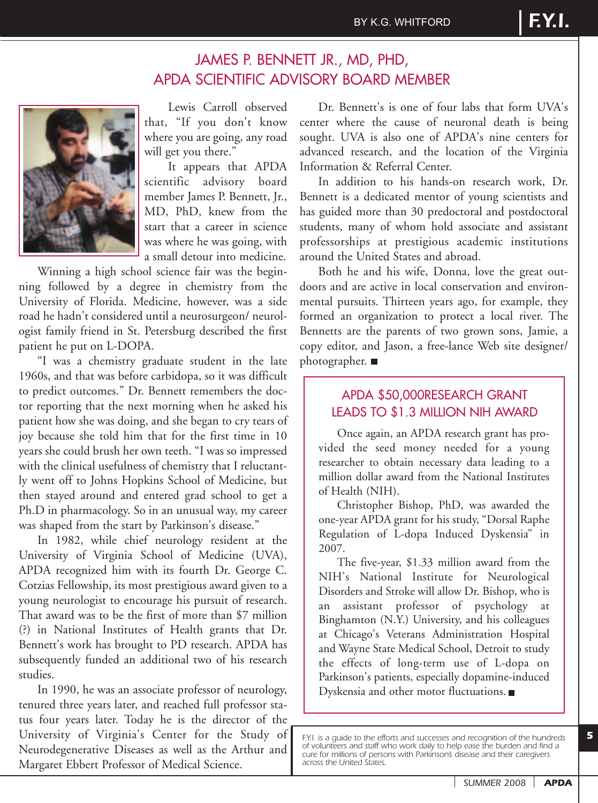

Lewis Carroll observed that, "If you don't know where you are going, any road will get you there."

It appears that APDA scientific advisory board member James P. Bennett, Jr., MD, PhD, knew from the start that a career in science was where he was going, with a small detour into medicine.

Winning a high school science fair was the beginning followed by a degree in chemistry from the University of Florida. Medicine, however, was a side road he hadn't considered until a neurosurgeon/ neurologist family friend in St. Petersburg described the first patient he put on L-DOPA.

"I was a chemistry graduate student in the late 1960s, and that was before carbidopa, so it was difficult to predict outcomes." Dr. Bennett remembers the doctor reporting that the next morning when he asked his patient how she was doing, and she began to cry tears of joy because she told him that for the first time in 10 years she could brush her own teeth. "I was so impressed with the clinical usefulness of chemistry that I reluctantly went off to Johns Hopkins School of Medicine, but then stayed around and entered grad school to get a Ph.D in pharmacology. So in an unusual way, my career was shaped from the start by Parkinson's disease."

In 1982, while chief neurology resident at the University of Virginia School of Medicine (UVA), APDA recognized him with its fourth Dr. George C. Cotzias Fellowship, its most prestigious award given to a young neurologist to encourage his pursuit of research. That award was to be the first of more than \$7 million (?) in National Institutes of Health grants that Dr. Bennett's work has brought to PD research. APDA has subsequently funded an additional two of his research studies.

In 1990, he was an associate professor of neurology, tenured three years later, and reached full professor status four years later. Today he is the director of the University of Virginia's Center for the Study of Neurodegenerative Diseases as well as the Arthur and Margaret Ebbert Professor of Medical Science.

Dr. Bennett's is one of four labs that form UVA's center where the cause of neuronal death is being sought. UVA is also one of APDA's nine centers for advanced research, and the location of the Virginia Information & Referral Center.

In addition to his hands-on research work, Dr. Bennett is a dedicated mentor of young scientists and has guided more than 30 predoctoral and postdoctoral students, many of whom hold associate and assistant professorships at prestigious academic institutions around the United States and abroad.

Both he and his wife, Donna, love the great outdoors and are active in local conservation and environmental pursuits. Thirteen years ago, for example, they formed an organization to protect a local river. The Bennetts are the parents of two grown sons, Jamie, a copy editor, and Jason, a free-lance Web site designer/ photographer. ■

#### APDA \$50,000RESEARCH GRANT LEADS TO \$1.3 MILLION NIH AWARD

Once again, an APDA research grant has provided the seed money needed for a young researcher to obtain necessary data leading to a million dollar award from the National Institutes of Health (NIH).

Christopher Bishop, PhD, was awarded the one-year APDA grant for his study, "Dorsal Raphe Regulation of L-dopa Induced Dyskensia" in 2007.

The five-year, \$1.33 million award from the NIH's National Institute for Neurological Disorders and Stroke will allow Dr. Bishop, who is an assistant professor of psychology at Binghamton (N.Y.) University, and his colleagues at Chicago's Veterans Administration Hospital and Wayne State Medical School, Detroit to study the effects of long-term use of L-dopa on Parkinson's patients, especially dopamine-induced Dyskensia and other motor fluctuations.

*F.Y.I. is a guide to the efforts and successes and recognition of the hundreds of volunteers and staff who work daily to help ease the burden and find a cure for millions of persons with Parkinson's disease and their caregivers across the United States.*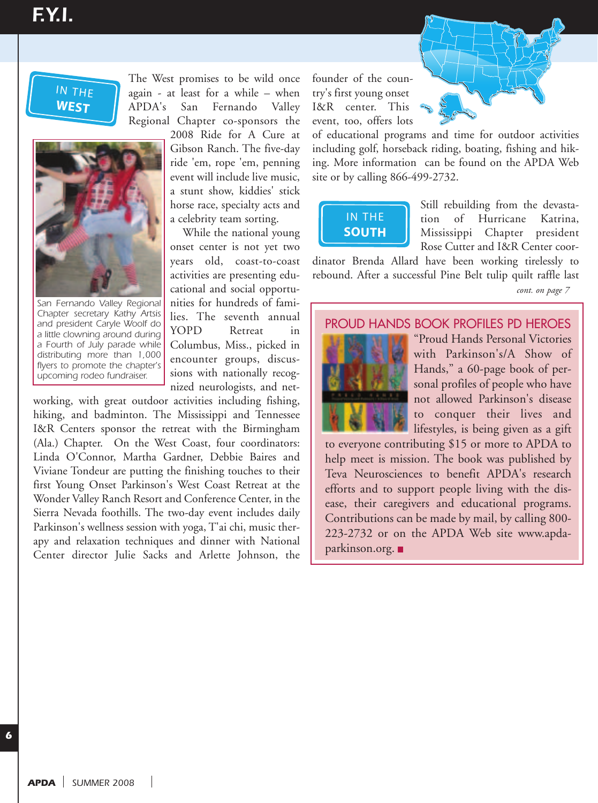# **NORTHEAST** *F.Y.I.*

## IN THE **WEST**



**EAST** *San Fernando Valley Regional* argers to promote the enerpted<br>upcoming rodeo fundraiser. *Chapter secretary Kathy Artsis and president Caryle Woolf do a little clowning around during a Fourth of July parade while distributing more than 1,000 flyers to promote the chapter's*

The West promises to be wild once again - at least for a while – when APDA's San Fernando Valley Regional Chapter co-sponsors the

2008 Ride for A Cure at Gibson Ranch. The five-day ride 'em, rope 'em, penning event will include live music, a stunt show, kiddies' stick horse race, specialty acts and a celebrity team sorting.

While the national young onset center is not yet two years old, coast-to-coast activities are presenting educational and social opportunities for hundreds of families. The seventh annual YOPD Retreat in Columbus, Miss., picked in encounter groups, discussions with nationally recognized neurologists, and net-

working, with great outdoor activities including fishing, hiking, and badminton. The Mississippi and Tennessee I&R Centers sponsor the retreat with the Birmingham (Ala.) Chapter. On the West Coast, four coordinators: Linda O'Connor, Martha Gardner, Debbie Baires and Viviane Tondeur are putting the finishing touches to their first Young Onset Parkinson's West Coast Retreat at the Wonder Valley Ranch Resort and Conference Center, in the Sierra Nevada foothills. The two-day event includes daily Parkinson's wellness session with yoga, T'ai chi, music therapy and relaxation techniques and dinner with National Center director Julie Sacks and Arlette Johnson, the ig, and<br>Centers<br>) Chapte<br>la O'Cor<br>ane Tond<br>Young C<br>ca Nevada

founder of the country's first young onset I&R center. This event, too, offers lots

of educational programs and time for outdoor activities including golf, horseback riding, boating, fishing and hiking. More information can be found on the APDA Web site or by calling 866-499-2732.



Still rebuilding from the devastation of Hurricane Katrina, Mississippi Chapter president Rose Cutter and I&R Center coor-

dinator Brenda Allard have been working tirelessly to rebound. After a successful Pine Belt tulip quilt raffle last

#### PROUD HANDS BOOK PROFILES PD HEROES



**NORTHWEST**

"Proud Hands Personal Victories with Parkinson's/A Show of Hands," a 60-page book of personal profiles of people who have not allowed Parkinson's disease to conquer their lives and lifestyles, is being given as a gift

to everyone contributing \$15 or more to APDA to help meet is mission. The book was published by Teva Neurosciences to benefit APDA's research efforts and to support people living with the disease, their caregivers and educational programs. Contributions can be made by mail, by calling 800- 223-2732 or on the APDA Web site www.apdaparkinson.org.

*cont. on page 7*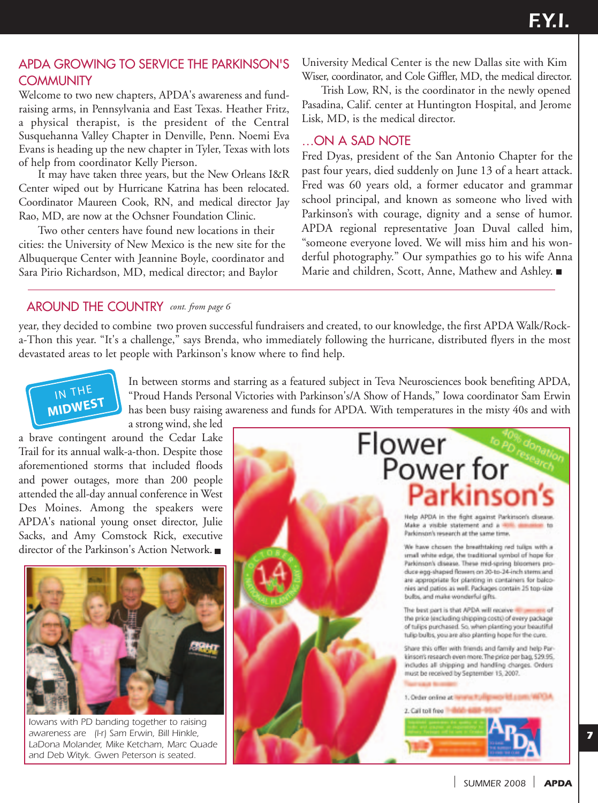#### APDA GROWING TO SERVICE THE PARKINSON'S **COMMUNITY**

Welcome to two new chapters, APDA's awareness and fundraising arms, in Pennsylvania and East Texas. Heather Fritz, a physical therapist, is the president of the Central Susquehanna Valley Chapter in Denville, Penn. Noemi Eva Evans is heading up the new chapter in Tyler, Texas with lots of help from coordinator Kelly Pierson.

It may have taken three years, but the New Orleans I&R Center wiped out by Hurricane Katrina has been relocated. Coordinator Maureen Cook, RN, and medical director Jay Rao, MD, are now at the Ochsner Foundation Clinic. anna Va<br>heading<br>from coc<br>ay have<br>wiped ou<br>ator Ma<br>D, are nc **Property**<br>**Example 1**<br>**Example 1**<br>**Example 1**<br>**CORT**<br>**CORT**<br>**CORT**<br>**EXECT**<br>**EXECT**<br> **EXECT** 

Two other centers have found new locations in their cities: the University of New Mexico is the new site for the Albuquerque Center with Jeannine Boyle, coordinator and Sara Pirio Richardson, MD, medical director; and Baylor

University Medical Center is the new Dallas site with Kim Wiser, coordinator, and Cole Giffler, MD, the medical director.

Trish Low, RN, is the coordinator in the newly opened Pasadina, Calif. center at Huntington Hospital, and Jerome Lisk, MD, is the medical director.

#### …ON A SAD NOTE

Fred Dyas, president of the San Antonio Chapter for the past four years, died suddenly on June 13 of a heart attack. Fred was 60 years old, a former educator and grammar school principal, and known as someone who lived with Parkinson's with courage, dignity and a sense of humor. APDA regional representative Joan Duval called him, "someone everyone loved. We will miss him and his wonderful photography." Our sympathies go to his wife Anna Marie and children, Scott, Anne, Mathew and Ashley.

## AROUND THE COUNTRY cont. from page 6

year, they decided to combine two proven successful fundraisers and created, to our knowledge, the first APDA Walk/Rocka-Thon this year. "It's a challenge," says Brenda, who immediately following the hurricane, distributed flyers in the most devastated areas to let people with Parkinson's know where to find help.



**NORTHEAST**

In between storms and starring as a featured subject in Teva Neurosciences book benefiting APDA, "Proud Hands Personal Victories with Parkinson's/A Show of Hands," Iowa coordinator Sam Erwin has been busy raising awareness and funds for APDA. With temperatures in the misty 40s and with

a strong wind, she led a brave contingent around the Cedar Lake Trail for its annual walk-a-thon. Despite those aforementioned storms that included floods and power outages, more than 200 people attended the all-day annual conference in West Des Moines. Among the speakers were APDA's national young onset director, Julie Sacks, and Amy Comstock Rick, executive director of the Parkinson's Action Network. continge<br>
its annua<br>
its annua<br>
wer outa<sub>{</sub><br>
divideolence.<br>  $\frac{1}{2}$ <br> **A**<br>
intional



*Iowans with PD banding together to raising awareness are (l-r) Sam Erwin, Bill Hinkle, LaDona Molander, Mike Ketcham, Marc Quade and Deb Wityk. Gwen Peterson is seated.*



*SUMMER 2008 APDA*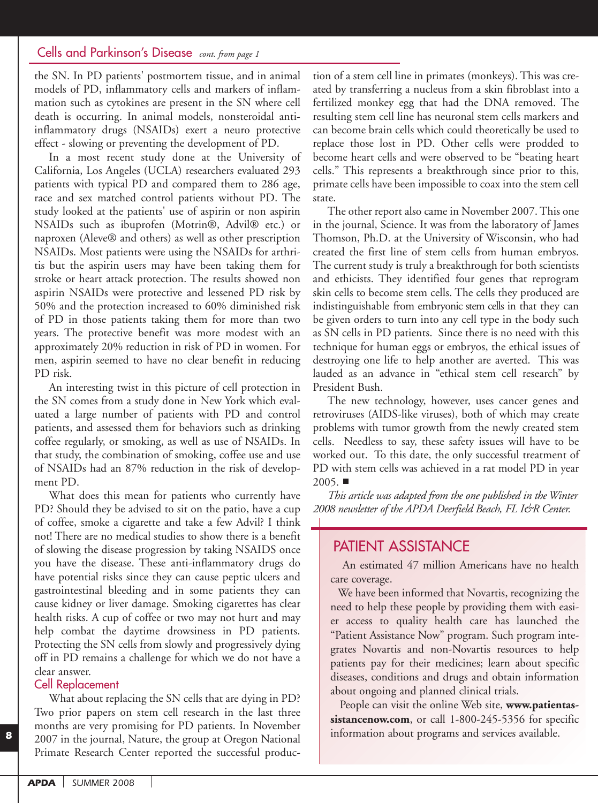#### Cells and Parkinson's Disease *cont. from page 1*

the SN. In PD patients' postmortem tissue, and in animal models of PD, inflammatory cells and markers of inflammation such as cytokines are present in the SN where cell death is occurring. In animal models, nonsteroidal antiinflammatory drugs (NSAIDs) exert a neuro protective effect - slowing or preventing the development of PD.

In a most recent study done at the University of California, Los Angeles (UCLA) researchers evaluated 293 patients with typical PD and compared them to 286 age, race and sex matched control patients without PD. The study looked at the patients' use of aspirin or non aspirin NSAIDs such as ibuprofen (Motrin®, Advil® etc.) or naproxen (Aleve® and others) as well as other prescription NSAIDs. Most patients were using the NSAIDs for arthritis but the aspirin users may have been taking them for stroke or heart attack protection. The results showed non aspirin NSAIDs were protective and lessened PD risk by 50% and the protection increased to 60% diminished risk of PD in those patients taking them for more than two years. The protective benefit was more modest with an approximately 20% reduction in risk of PD in women. For men, aspirin seemed to have no clear benefit in reducing PD risk.

An interesting twist in this picture of cell protection in the SN comes from a study done in New York which evaluated a large number of patients with PD and control patients, and assessed them for behaviors such as drinking coffee regularly, or smoking, as well as use of NSAIDs. In that study, the combination of smoking, coffee use and use of NSAIDs had an 87% reduction in the risk of development PD.

What does this mean for patients who currently have PD? Should they be advised to sit on the patio, have a cup of coffee, smoke a cigarette and take a few Advil? I think not! There are no medical studies to show there is a benefit of slowing the disease progression by taking NSAIDS once you have the disease. These anti-inflammatory drugs do have potential risks since they can cause peptic ulcers and gastrointestinal bleeding and in some patients they can cause kidney or liver damage. Smoking cigarettes has clear health risks. A cup of coffee or two may not hurt and may help combat the daytime drowsiness in PD patients. Protecting the SN cells from slowly and progressively dying off in PD remains a challenge for which we do not have a clear answer.

#### Cell Replacement

*8*

What about replacing the SN cells that are dying in PD? Two prior papers on stem cell research in the last three months are very promising for PD patients. In November 2007 in the journal, Nature, the group at Oregon National Primate Research Center reported the successful produc-

tion of a stem cell line in primates (monkeys). This was created by transferring a nucleus from a skin fibroblast into a fertilized monkey egg that had the DNA removed. The resulting stem cell line has neuronal stem cells markers and can become brain cells which could theoretically be used to replace those lost in PD. Other cells were prodded to become heart cells and were observed to be "beating heart cells." This represents a breakthrough since prior to this, primate cells have been impossible to coax into the stem cell state.

The other report also came in November 2007. This one in the journal, Science. It was from the laboratory of James Thomson, Ph.D. at the University of Wisconsin, who had created the first line of stem cells from human embryos. The current study is truly a breakthrough for both scientists and ethicists. They identified four genes that reprogram skin cells to become stem cells. The cells they produced are indistinguishable from embryonic stem cells in that they can be given orders to turn into any cell type in the body such as SN cells in PD patients. Since there is no need with this technique for human eggs or embryos, the ethical issues of destroying one life to help another are averted. This was lauded as an advance in "ethical stem cell research" by President Bush.

The new technology, however, uses cancer genes and retroviruses (AIDS-like viruses), both of which may create problems with tumor growth from the newly created stem cells. Needless to say, these safety issues will have to be worked out. To this date, the only successful treatment of PD with stem cells was achieved in a rat model PD in year  $2005.$ 

*This article was adapted from the one published in the Winter 2008 newsletter of the APDA Deerfield Beach, FL I&R Center.*

### PATIENT ASSISTANCE

An estimated 47 million Americans have no health care coverage.

We have been informed that Novartis, recognizing the need to help these people by providing them with easier access to quality health care has launched the "Patient Assistance Now" program. Such program integrates Novartis and non-Novartis resources to help patients pay for their medicines; learn about specific diseases, conditions and drugs and obtain information about ongoing and planned clinical trials.

People can visit the online Web site, **www.patientassistancenow.com**, or call 1-800-245-5356 for specific information about programs and services available.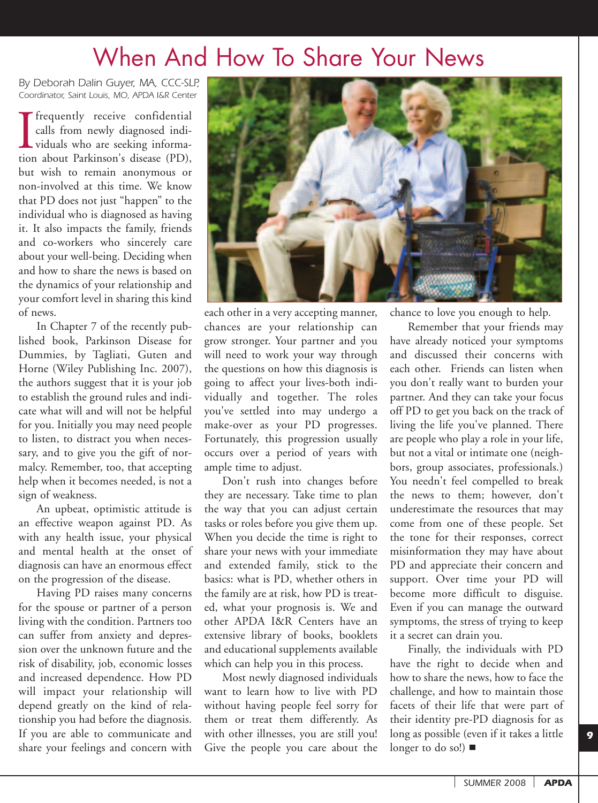# When And How To Share Your News

*By Deborah Dalin Guyer, MA, CCC-SLP, Coordinator, Saint Louis, MO, APDA I&R Center*

I<sub>tion</sub> frequently receive confidential calls from newly diagnosed individuals who are seeking information about Parkinson's disease (PD), but wish to remain anonymous or non-involved at this time. We know that PD does not just "happen" to the individual who is diagnosed as having it. It also impacts the family, friends and co-workers who sincerely care about your well-being. Deciding when and how to share the news is based on the dynamics of your relationship and your comfort level in sharing this kind of news.

In Chapter 7 of the recently published book, Parkinson Disease for Dummies, by Tagliati, Guten and Horne (Wiley Publishing Inc. 2007), the authors suggest that it is your job to establish the ground rules and indicate what will and will not be helpful for you. Initially you may need people to listen, to distract you when necessary, and to give you the gift of normalcy. Remember, too, that accepting help when it becomes needed, is not a sign of weakness.

An upbeat, optimistic attitude is an effective weapon against PD. As with any health issue, your physical and mental health at the onset of diagnosis can have an enormous effect on the progression of the disease.

Having PD raises many concerns for the spouse or partner of a person living with the condition. Partners too can suffer from anxiety and depression over the unknown future and the risk of disability, job, economic losses and increased dependence. How PD will impact your relationship will depend greatly on the kind of relationship you had before the diagnosis. If you are able to communicate and share your feelings and concern with



each other in a very accepting manner, chances are your relationship can grow stronger. Your partner and you will need to work your way through the questions on how this diagnosis is going to affect your lives-both individually and together. The roles you've settled into may undergo a make-over as your PD progresses. Fortunately, this progression usually occurs over a period of years with ample time to adjust.

Don't rush into changes before they are necessary. Take time to plan the way that you can adjust certain tasks or roles before you give them up. When you decide the time is right to share your news with your immediate and extended family, stick to the basics: what is PD, whether others in the family are at risk, how PD is treated, what your prognosis is. We and other APDA I&R Centers have an extensive library of books, booklets and educational supplements available which can help you in this process.

Most newly diagnosed individuals want to learn how to live with PD without having people feel sorry for them or treat them differently. As with other illnesses, you are still you! Give the people you care about the chance to love you enough to help.

Remember that your friends may have already noticed your symptoms and discussed their concerns with each other. Friends can listen when you don't really want to burden your partner. And they can take your focus off PD to get you back on the track of living the life you've planned. There are people who play a role in your life, but not a vital or intimate one (neighbors, group associates, professionals.) You needn't feel compelled to break the news to them; however, don't underestimate the resources that may come from one of these people. Set the tone for their responses, correct misinformation they may have about PD and appreciate their concern and support. Over time your PD will become more difficult to disguise. Even if you can manage the outward symptoms, the stress of trying to keep it a secret can drain you.

Finally, the individuals with PD have the right to decide when and how to share the news, how to face the challenge, and how to maintain those facets of their life that were part of their identity pre-PD diagnosis for as long as possible (even if it takes a little longer to do so!) ■

*SUMMER 2008 APDA*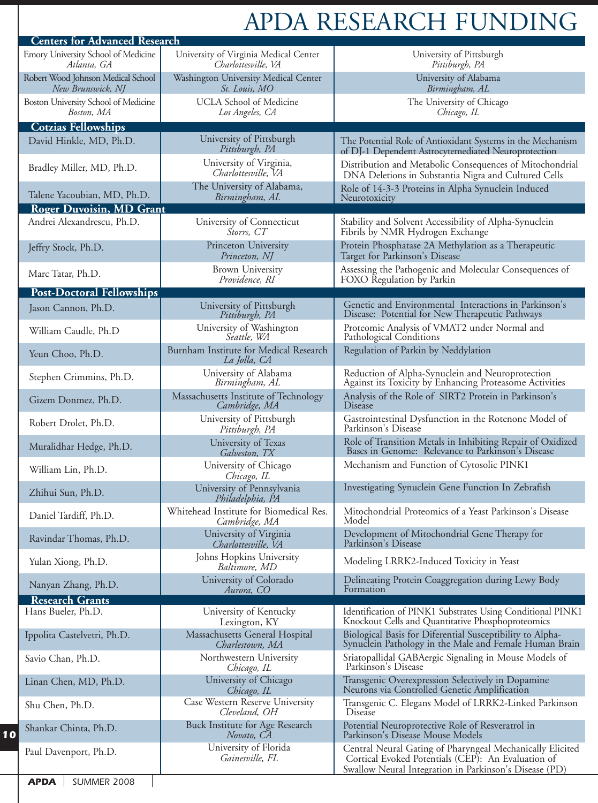# APDA RESEARCH FUNDING

| <b>Centers for Advanced Research</b>                    |                                                              |                                                                                                                                                                           |
|---------------------------------------------------------|--------------------------------------------------------------|---------------------------------------------------------------------------------------------------------------------------------------------------------------------------|
| Emory University School of Medicine<br>Atlanta, GA      | University of Virginia Medical Center<br>Charlottesville, VA | University of Pittsburgh<br>Pittsburgh, PA                                                                                                                                |
| Robert Wood Johnson Medical School<br>New Brunswick, NJ | Washington University Medical Center<br>St. Louis, MO        | University of Alabama<br>Birmingham, AL                                                                                                                                   |
| Boston University School of Medicine<br>Boston, MA      | <b>UCLA School of Medicine</b><br>Los Angeles, CA            | The University of Chicago<br>Chicago, IL                                                                                                                                  |
| <b>Cotzias Fellowships</b>                              |                                                              |                                                                                                                                                                           |
| David Hinkle, MD, Ph.D.                                 | University of Pittsburgh<br>Pittsburgh, PA                   | The Potential Role of Antioxidant Systems in the Mechanism<br>of DJ-1 Dependent Astrocytemediated Neuroprotection                                                         |
| Bradley Miller, MD, Ph.D.                               | University of Virginia,<br>Charlottesville, VA               | Distribution and Metabolic Consequences of Mitochondrial<br>DNA Deletions in Substantia Nigra and Cultured Cells                                                          |
| Talene Yacoubian, MD, Ph.D.                             | The University of Alabama,<br>Birmingham, AL                 | Role of 14-3-3 Proteins in Alpha Synuclein Induced<br>Neurotoxicity                                                                                                       |
| <b>Roger Duvoisin, MD Grant</b>                         |                                                              |                                                                                                                                                                           |
| Andrei Alexandrescu, Ph.D.                              | University of Connecticut<br>Storrs, CT                      | Stability and Solvent Accessibility of Alpha-Synuclein<br>Fibrils by NMR Hydrogen Exchange                                                                                |
| Jeffry Stock, Ph.D.                                     | Princeton University<br>Princeton, NJ                        | Protein Phosphatase 2A Methylation as a Therapeutic<br>Target for Parkinson's Disease                                                                                     |
| Marc Tatar, Ph.D.                                       | <b>Brown University</b><br>Providence, RI                    | Assessing the Pathogenic and Molecular Consequences of<br>FOXO Regulation by Parkin                                                                                       |
| <b>Post-Doctoral Fellowships</b>                        |                                                              |                                                                                                                                                                           |
| Jason Cannon, Ph.D.                                     | University of Pittsburgh<br>Pittsburgh, PA                   | Genetic and Environmental Interactions in Parkinson's<br>Disease: Potential for New Therapeutic Pathways                                                                  |
| William Caudle, Ph.D                                    | University of Washington<br>Seattle, WA                      | Proteomic Analysis of VMAT2 under Normal and<br>Pathological Conditions                                                                                                   |
| Yeun Choo, Ph.D.                                        | Burnham Institute for Medical Research<br>La Jolla, CA       | Regulation of Parkin by Neddylation                                                                                                                                       |
| Stephen Crimmins, Ph.D.                                 | University of Alabama<br>Birmingham, AL                      | Reduction of Alpha-Synuclein and Neuroprotection<br>Against its Toxicity by Enhancing Proteasome Activities                                                               |
| Gizem Donmez, Ph.D.                                     | Massachusetts Institute of Technology<br>Cambridge, MA       | Analysis of the Role of SIRT2 Protein in Parkinson's<br>Disease                                                                                                           |
| Robert Drolet, Ph.D.                                    | University of Pittsburgh<br>Pittsburgh, PA                   | Gastrointestinal Dysfunction in the Rotenone Model of<br>Parkinson's Disease                                                                                              |
| Muralidhar Hedge, Ph.D.                                 | University of Texas<br>Galveston, TX                         | Role of Transition Metals in Inhibiting Repair of Oxidized<br>Bases in Genome: Relevance to Parkinson's Disease                                                           |
| William Lin, Ph.D.                                      | University of Chicago<br>Chicago, IL                         | Mechanism and Function of Cytosolic PINK1                                                                                                                                 |
| Zhihui Sun, Ph.D.                                       | University of Pennsylvania<br>Philadelphia, PA               | Investigating Synuclein Gene Function In Zebrafish                                                                                                                        |
| Daniel Tardiff, Ph.D.                                   | Whitehead Institute for Biomedical Res.<br>Cambridge, MA     | Mitochondrial Proteomics of a Yeast Parkinson's Disease<br>Model                                                                                                          |
| Ravindar Thomas, Ph.D.                                  | University of Virginia<br>Charlottesville, VA                | Development of Mitochondrial Gene Therapy for<br>Parkinson's Disease                                                                                                      |
| Yulan Xiong, Ph.D.                                      | Johns Hopkins University<br>Baltimore, MD                    | Modeling LRRK2-Induced Toxicity in Yeast                                                                                                                                  |
| Nanyan Zhang, Ph.D.                                     | University of Colorado<br>Aurora, CO                         | Delineating Protein Coaggregation during Lewy Body<br>Formation                                                                                                           |
| <b>Research Grants</b>                                  |                                                              |                                                                                                                                                                           |
| Hans Bueler, Ph.D.                                      | University of Kentucky<br>Lexington, KY                      | Identification of PINK1 Substrates Using Conditional PINK1<br>Knockout Cells and Quantitative Phosphoproteomics                                                           |
| Ippolita Castelvetri, Ph.D.                             | Massachusetts General Hospital<br>Charlestown, MA            | Biological Basis for Diferential Susceptibility to Alpha-<br>Synuclein Pathology in the Male and Female Human Brain                                                       |
| Savio Chan, Ph.D.                                       | Northwestern University<br>Chicago, IL                       | Sriatopallidal GABAergic Signaling in Mouse Models of<br>Parkinson's Disease                                                                                              |
| Linan Chen, MD, Ph.D.                                   | University of Chicago<br>Chicago, IL                         | Transgenic Overexpression Selectively in Dopamine<br>Neurons via Controlled Genetic Amplification                                                                         |
| Shu Chen, Ph.D.                                         | Case Western Reserve University<br>Cleveland, OH             | Transgenic C. Elegans Model of LRRK2-Linked Parkinson<br>Disease                                                                                                          |
| Shankar Chinta, Ph.D.                                   | Buck Institute for Age Research<br>Novato, CA                | Potential Neuroprotective Role of Resveratrol in<br>Parkinson's Disease Mouse Models                                                                                      |
| Paul Davenport, Ph.D.                                   | University of Florida<br>Gainesville, FL                     | Central Neural Gating of Pharyngeal Mechanically Elicited<br>Cortical Evoked Potentials (CEP): An Evaluation of<br>Swallow Neural Integration in Parkinson's Disease (PD) |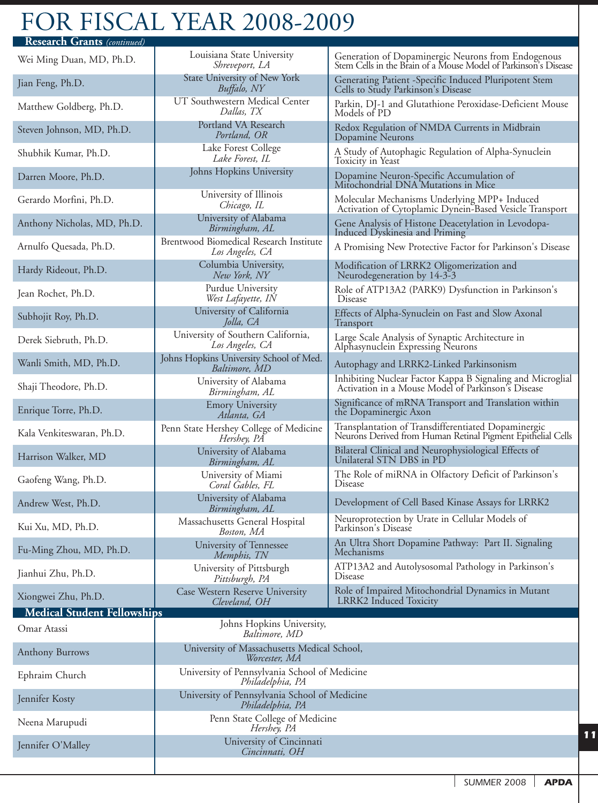# FOR FISCAL YEAR 2008-2009

| <b>Research Grants</b> (continued) |                                                                   |                                                                                                                       |
|------------------------------------|-------------------------------------------------------------------|-----------------------------------------------------------------------------------------------------------------------|
| Wei Ming Duan, MD, Ph.D.           | Louisiana State University<br>Shreveport, LA                      | Generation of Dopaminergic Neurons from Endogenous<br>Stem Cells in the Brain of a Mouse Model of Parkinson's Disease |
| Jian Feng, Ph.D.                   | State University of New York<br>Buffalo, NY                       | Generating Patient -Specific Induced Pluripotent Stem<br>Cells to Study Parkinson's Disease                           |
| Matthew Goldberg, Ph.D.            | UT Southwestern Medical Center<br>Dallas, TX                      | Parkin, DJ-1 and Glutathione Peroxidase-Deficient Mouse<br>Models of PD                                               |
| Steven Johnson, MD, Ph.D.          | Portland VA Research<br>Portland, OR                              | Redox Regulation of NMDA Currents in Midbrain<br>Dopamine Neurons                                                     |
| Shubhik Kumar, Ph.D.               | Lake Forest College<br>Lake Forest, IL                            | A Study of Autophagic Regulation of Alpha-Synuclein<br>Toxicity in Yeast                                              |
| Darren Moore, Ph.D.                | Johns Hopkins University                                          | Dopamine Neuron-Specific Accumulation of<br>Mitochondrial DNA Mutations in Mice                                       |
| Gerardo Morfini, Ph.D.             | University of Illinois<br>Chicago, IL                             | Molecular Mechanisms Underlying MPP+ Induced<br>Activation of Cytoplamic Dynein-Based Vesicle Transport               |
| Anthony Nicholas, MD, Ph.D.        | University of Alabama<br>Birmingham, AL                           | Gene Analysis of Histone Deacetylation in Levodopa-<br>Induced Dyskinesia and Priming                                 |
| Arnulfo Quesada, Ph.D.             | Brentwood Biomedical Research Institute<br>Los Angeles, CA        | A Promising New Protective Factor for Parkinson's Disease                                                             |
| Hardy Rideout, Ph.D.               | Columbia University,<br>New York, NY                              | Modification of LRRK2 Oligomerization and<br>Neurodegeneration by 14-3-3                                              |
| Jean Rochet, Ph.D.                 | Purdue University<br>West Lafayette, IN                           | Role of ATP13A2 (PARK9) Dysfunction in Parkinson's<br>Disease                                                         |
| Subhojit Roy, Ph.D.                | University of California<br>Jolla, CA                             | Effects of Alpha-Synuclein on Fast and Slow Axonal<br>Transport                                                       |
| Derek Siebruth, Ph.D.              | University of Southern California,<br>Los Angeles, CA             | Large Scale Analysis of Synaptic Architecture in<br>Alphasynuclein Expressing Neurons                                 |
| Wanli Smith, MD, Ph.D.             | Johns Hopkins University School of Med.<br>Baltimore, MD          | Autophagy and LRRK2-Linked Parkinsonism                                                                               |
| Shaji Theodore, Ph.D.              | University of Alabama<br>Birmingham, AL                           | Inhibiting Nuclear Factor Kappa B Signaling and Microglial<br>Activation in a Mouse Model of Parkinson's Disease      |
| Enrique Torre, Ph.D.               | <b>Emory University</b><br>Atlanta, GA                            | Significance of mRNA Transport and Translation within<br>the Dopaminergic Axon                                        |
| Kala Venkiteswaran, Ph.D.          | Penn State Hershey College of Medicine<br>Hershey, PA             | Transplantation of Transdifferentiated Dopaminergic<br>Neurons Derived from Human Retinal Pigment Epithelial Cells    |
| Harrison Walker, MD                | University of Alabama<br>Birmingham, AL                           | Bilateral Clinical and Neurophysiological Effects of<br>Unilateral STN DBS in PD                                      |
| Gaofeng Wang, Ph.D.                | University of Miami<br>Coral Gables, FL                           | The Role of miRNA in Olfactory Deficit of Parkinson's<br>Disease                                                      |
| Andrew West, Ph.D.                 | University of Alabama<br>Birmingham, AL                           | Development of Cell Based Kinase Assays for LRRK2                                                                     |
| Kui Xu, MD, Ph.D.                  | Massachusetts General Hospital<br>Boston, MA                      | Neuroprotection by Urate in Cellular Models of<br>Parkinson's Disease                                                 |
| Fu-Ming Zhou, MD, Ph.D.            | University of Tennessee<br>Memphis, TN                            | An Ultra Short Dopamine Pathway: Part II. Signaling<br>Mechanisms                                                     |
| Jianhui Zhu, Ph.D.                 | University of Pittsburgh<br>Pittsburgh, PA                        | ATP13A2 and Autolysosomal Pathology in Parkinson's<br>Disease                                                         |
| Xiongwei Zhu, Ph.D.                | Case Western Reserve University<br>Cleveland, OH                  | Role of Impaired Mitochondrial Dynamics in Mutant<br>LRRK2 Induced Toxicity                                           |
| <b>Medical Student Fellowships</b> |                                                                   |                                                                                                                       |
| Omar Atassi                        | Johns Hopkins University,<br>Baltimore, MD                        |                                                                                                                       |
| <b>Anthony Burrows</b>             | University of Massachusetts Medical School,<br>Worcester, MA      |                                                                                                                       |
| Ephraim Church                     | University of Pennsylvania School of Medicine<br>Philadelphia, PA |                                                                                                                       |
| Jennifer Kosty                     | University of Pennsylvania School of Medicine<br>Philadelphia, PA |                                                                                                                       |
| Neena Marupudi                     | Penn State College of Medicine<br>Hershey, PA<br>11               |                                                                                                                       |
| Jennifer O'Malley                  | University of Cincinnati<br>Cincinnati, OH                        |                                                                                                                       |
|                                    |                                                                   |                                                                                                                       |